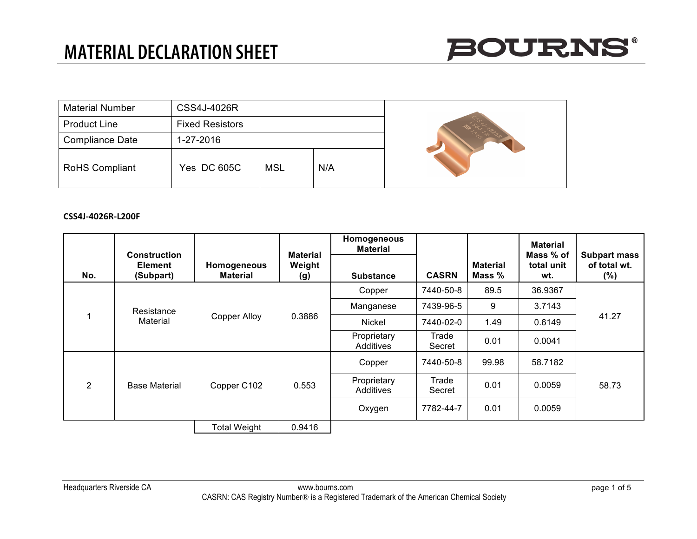

| <b>Material Number</b> | <b>CSS4J-4026R</b>     |            |     |  |
|------------------------|------------------------|------------|-----|--|
| <b>Product Line</b>    | <b>Fixed Resistors</b> |            |     |  |
| Compliance Date        | 1-27-2016              |            |     |  |
| <b>RoHS Compliant</b>  | <b>Yes DC 605C</b>     | <b>MSL</b> | N/A |  |

## **CSS4J-4026R-L200F**

|               |                                                    |                                |                                  | Homogeneous<br><b>Material</b> |                 |                           | <b>Material</b>                |                                            |
|---------------|----------------------------------------------------|--------------------------------|----------------------------------|--------------------------------|-----------------|---------------------------|--------------------------------|--------------------------------------------|
| No.           | <b>Construction</b><br><b>Element</b><br>(Subpart) | Homogeneous<br><b>Material</b> | <b>Material</b><br>Weight<br>(g) | <b>Substance</b>               | <b>CASRN</b>    | <b>Material</b><br>Mass % | Mass % of<br>total unit<br>wt. | <b>Subpart mass</b><br>of total wt.<br>(%) |
|               |                                                    |                                |                                  | Copper                         | 7440-50-8       | 89.5                      | 36.9367                        | 41.27                                      |
|               | Resistance                                         | <b>Copper Alloy</b>            | 0.3886                           | Manganese                      | 7439-96-5       | 9                         | 3.7143                         |                                            |
| 1<br>Material |                                                    |                                |                                  | Nickel                         | 7440-02-0       | 1.49                      | 0.6149                         |                                            |
|               |                                                    |                                |                                  | Proprietary<br>Additives       | Trade<br>Secret | 0.01                      | 0.0041                         |                                            |
|               |                                                    |                                |                                  | Copper                         | 7440-50-8       | 99.98                     | 58.7182                        |                                            |
| 2             | <b>Base Material</b>                               | Copper C102                    | 0.553                            | Proprietary<br>Additives       | Trade<br>Secret | 0.01                      | 0.0059                         | 58.73                                      |
|               |                                                    |                                |                                  | Oxygen                         | 7782-44-7       | 0.01                      | 0.0059                         |                                            |
|               |                                                    | <b>Total Weight</b>            | 0.9416                           |                                |                 |                           |                                |                                            |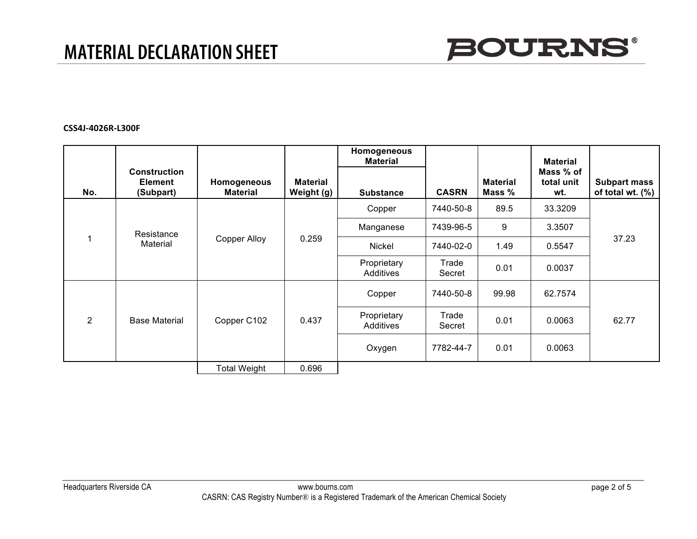

### **CSS4J-4026R-L300F**

|                |                                                    |                                |                               | Homogeneous<br><b>Material</b> |                 |                           | <b>Material</b>                |                                         |
|----------------|----------------------------------------------------|--------------------------------|-------------------------------|--------------------------------|-----------------|---------------------------|--------------------------------|-----------------------------------------|
| No.            | <b>Construction</b><br><b>Element</b><br>(Subpart) | Homogeneous<br><b>Material</b> | <b>Material</b><br>Weight (g) | <b>Substance</b>               | <b>CASRN</b>    | <b>Material</b><br>Mass % | Mass % of<br>total unit<br>wt. | <b>Subpart mass</b><br>of total wt. (%) |
|                |                                                    | <b>Copper Alloy</b>            |                               | Copper                         | 7440-50-8       | 89.5                      | 33.3209                        | 37.23                                   |
|                | Resistance                                         |                                | 0.259                         | Manganese                      | 7439-96-5       | 9                         | 3.3507                         |                                         |
|                | Material                                           |                                |                               | Nickel                         | 7440-02-0       | 1.49                      | 0.5547                         |                                         |
|                |                                                    |                                |                               | Proprietary<br>Additives       | Trade<br>Secret | 0.01                      | 0.0037                         |                                         |
|                |                                                    |                                |                               | Copper                         | 7440-50-8       | 99.98                     | 62.7574                        |                                         |
| $\overline{2}$ | <b>Base Material</b>                               | Copper C102                    | 0.437                         | Proprietary<br>Additives       | Trade<br>Secret | 0.01                      | 0.0063                         | 62.77                                   |
|                |                                                    |                                |                               | Oxygen                         | 7782-44-7       | 0.01                      | 0.0063                         |                                         |
|                |                                                    | Total Weight                   | 0.696                         |                                |                 |                           |                                |                                         |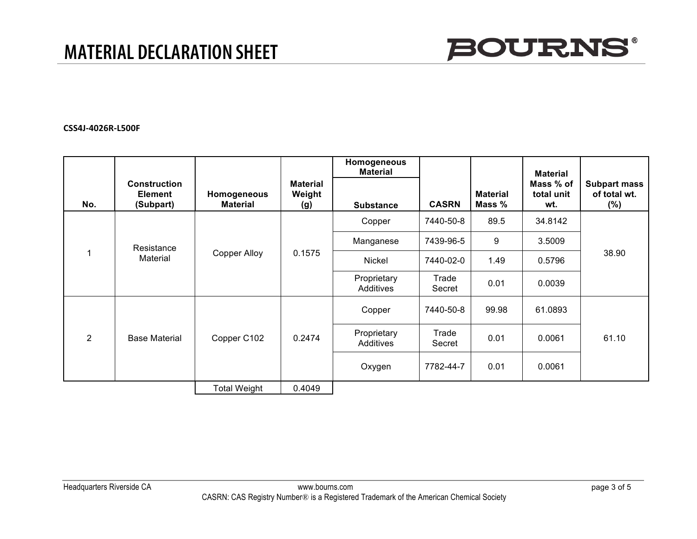

#### **CSS4J-4026R-L500F**

| No. | <b>Construction</b><br><b>Element</b><br>(Subpart) | Homogeneous<br><b>Material</b> | <b>Material</b><br>Weight<br>(g) | Homogeneous<br><b>Material</b><br><b>Substance</b> | <b>CASRN</b>    | <b>Material</b><br>Mass % | <b>Material</b><br>Mass % of<br>total unit<br>wt. | <b>Subpart mass</b><br>of total wt.<br>$(\% )$ |
|-----|----------------------------------------------------|--------------------------------|----------------------------------|----------------------------------------------------|-----------------|---------------------------|---------------------------------------------------|------------------------------------------------|
|     |                                                    |                                |                                  | Copper                                             | 7440-50-8       | 89.5                      | 34.8142                                           |                                                |
|     |                                                    | <b>Copper Alloy</b>            | 0.1575                           | Manganese                                          | 7439-96-5       | 9                         | 3.5009                                            | 38.90                                          |
|     | Resistance<br>Material                             |                                |                                  | Nickel                                             | 7440-02-0       | 1.49                      | 0.5796                                            |                                                |
|     |                                                    |                                |                                  | Proprietary<br>Additives                           | Trade<br>Secret | 0.01                      | 0.0039                                            |                                                |
|     |                                                    |                                |                                  | Copper                                             | 7440-50-8       | 99.98                     | 61.0893                                           |                                                |
| 2   | <b>Base Material</b>                               | Copper C102                    | 0.2474                           | Proprietary<br>Additives                           | Trade<br>Secret | 0.01                      | 0.0061                                            | 61.10                                          |
|     |                                                    |                                |                                  | Oxygen                                             | 7782-44-7       | 0.01                      | 0.0061                                            |                                                |
|     |                                                    | <b>Total Weight</b>            | 0.4049                           |                                                    |                 |                           |                                                   |                                                |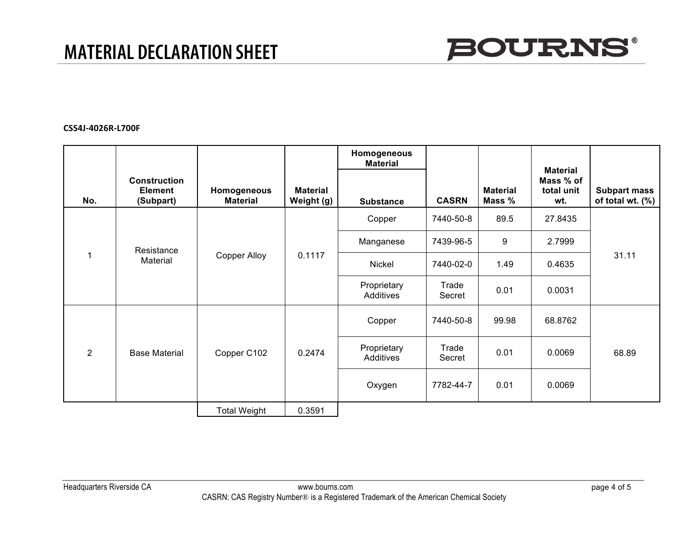

### **CSS4J-4026R-L700F**

|               |                                                    |                                |                               | Homogeneous<br><b>Material</b> |                 |                           |                                                   |                                         |
|---------------|----------------------------------------------------|--------------------------------|-------------------------------|--------------------------------|-----------------|---------------------------|---------------------------------------------------|-----------------------------------------|
| No.           | <b>Construction</b><br><b>Element</b><br>(Subpart) | Homogeneous<br><b>Material</b> | <b>Material</b><br>Weight (g) | <b>Substance</b>               | <b>CASRN</b>    | <b>Material</b><br>Mass % | <b>Material</b><br>Mass % of<br>total unit<br>wt. | <b>Subpart mass</b><br>of total wt. (%) |
|               |                                                    |                                |                               | Copper                         | 7440-50-8       | 89.5                      | 27.8435                                           | 31.11                                   |
|               | Resistance                                         | Copper Alloy                   | 0.1117                        | Manganese                      | 7439-96-5       | 9                         | 2.7999                                            |                                         |
| 1<br>Material |                                                    |                                |                               | Nickel                         | 7440-02-0       | 1.49                      | 0.4635                                            |                                         |
|               |                                                    |                                |                               | Proprietary<br>Additives       | Trade<br>Secret | 0.01                      | 0.0031                                            |                                         |
|               |                                                    |                                |                               | Copper                         | 7440-50-8       | 99.98                     | 68.8762                                           |                                         |
| 2             | <b>Base Material</b>                               | Copper C102                    | 0.2474                        | Proprietary<br>Additives       | Trade<br>Secret | 0.01                      | 0.0069                                            | 68.89                                   |
|               |                                                    |                                |                               | Oxygen                         | 7782-44-7       | 0.01                      | 0.0069                                            |                                         |
|               |                                                    | <b>Total Weight</b>            | 0.3591                        |                                |                 |                           |                                                   |                                         |